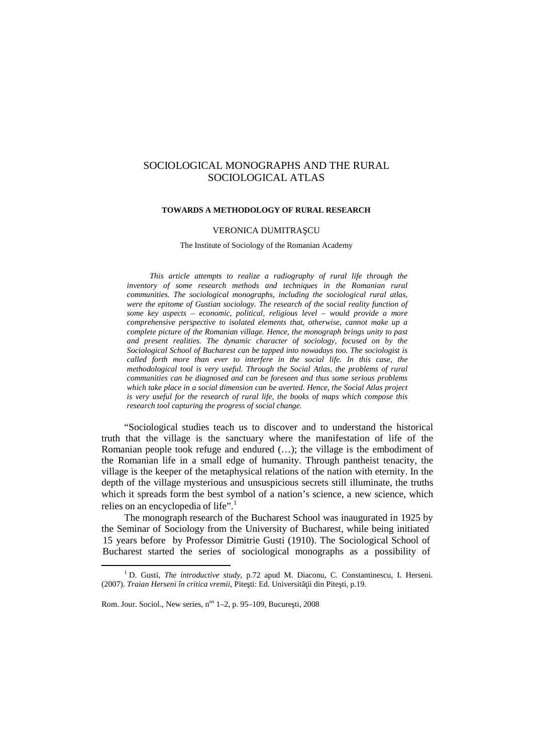# SOCIOLOGICAL MONOGRAPHS AND THE RURAL SOCIOLOGICAL ATLAS

#### **TOWARDS A METHODOLOGY OF RURAL RESEARCH**

# VERONICA DUMITRA CU

The Institute of Sociology of the Romanian Academy

*This article attempts to realize a radiography of rural life through the inventory of some research methods and techniques in the Romanian rural communities. The sociological monographs, including the sociological rural atlas, were the epitome of Gustian sociology. The research of the social reality function of some key aspects – economic, political, religious level – would provide a more comprehensive perspective to isolated elements that, otherwise, cannot make up a complete picture of the Romanian village. Hence, the monograph brings unity to past and present realities. The dynamic character of sociology, focused on by the Sociological School of Bucharest can be tapped into nowadays too. The sociologist is called forth more than ever to interfere in the social life. In this case, the methodological tool is very useful. Through the Social Atlas, the problems of rural communities can be diagnosed and can be foreseen and thus some serious problems which take place in a social dimension can be averted. Hence, the Social Atlas project is very useful for the research of rural life, the books of maps which compose this research tool capturing the progress of social change.*

"Sociological studies teach us to discover and to understand the historical truth that the village is the sanctuary where the manifestation of life of the Romanian people took refuge and endured (…); the village is the embodiment of the Romanian life in a small edge of humanity. Through pantheist tenacity, the village is the keeper of the metaphysical relations of the nation with eternity. In the depth of the village mysterious and unsuspicious secrets still illuminate, the truths which it spreads form the best symbol of a nation's science, a new science, which relies on an encyclopedia of life". $<sup>1</sup>$ </sup>

The monograph research of the Bucharest School was inaugurated in 1925 by the Seminar of Sociology from the University of Bucharest, while being initiated 15 years before by Professor Dimitrie Gusti (1910). The Sociological School of Bucharest started the series of sociological monographs as a possibility of

<sup>1</sup> D. Gusti, *The introductive study*, p.72 apud M. Diaconu, C. Constantinescu, I. Herseni. (2007). *Traian Herseni în critica vremii*, Pite ti: Ed. Universit ii din Pite ti, p.19.

Rom. Jour. Sociol., New series, n<sup>os</sup> 1-2, p. 95-109, Bucure ti, 2008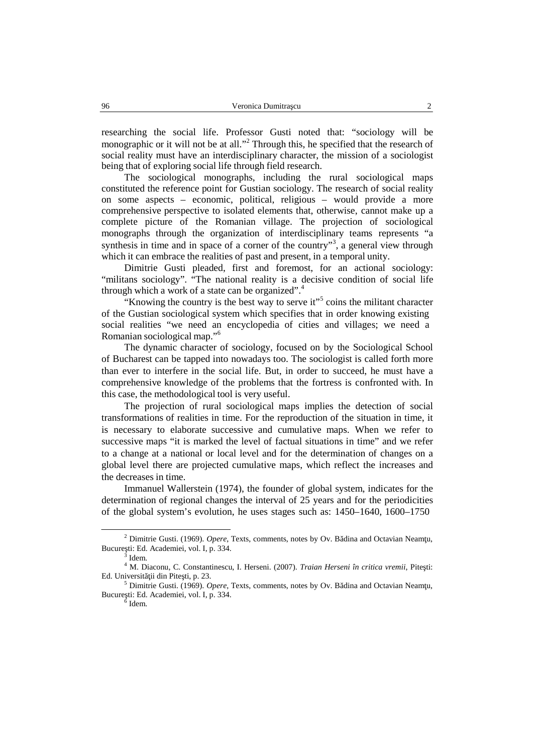researching the social life. Professor Gusti noted that: "sociology will be monographic or it will not be at all."<sup>2</sup> Through this, he specified that the research of social reality must have an interdisciplinary character, the mission of a sociologist being that of exploring social life through field research.

The sociological monographs, including the rural sociological maps constituted the reference point for Gustian sociology. The research of social reality on some aspects – economic, political, religious – would provide a more comprehensive perspective to isolated elements that, otherwise, cannot make up a complete picture of the Romanian village. The projection of sociological monographs through the organization of interdisciplinary teams represents "a synthesis in time and in space of a corner of the country"<sup>3</sup>, a general view through which it can embrace the realities of past and present, in a temporal unity.

Dimitrie Gusti pleaded, first and foremost, for an actional sociology: "militans sociology". "The national reality is a decisive condition of social life through which a work of a state can be organized".<sup>4</sup>

"Knowing the country is the best way to serve it"<sup>5</sup> coins the militant character of the Gustian sociological system which specifies that in order knowing existing social realities "we need an encyclopedia of cities and villages; we need a Romanian sociological map." 6

The dynamic character of sociology, focused on by the Sociological School of Bucharest can be tapped into nowadays too. The sociologist is called forth more than ever to interfere in the social life. But, in order to succeed, he must have a comprehensive knowledge of the problems that the fortress is confronted with. In this case, the methodological tool is very useful.

The projection of rural sociological maps implies the detection of social transformations of realities in time. For the reproduction of the situation in time, it is necessary to elaborate successive and cumulative maps. When we refer to successive maps "it is marked the level of factual situations in time" and we refer to a change at a national or local level and for the determination of changes on a global level there are projected cumulative maps, which reflect the increases and the decreases in time.

Immanuel Wallerstein (1974), the founder of global system, indicates for the determination of regional changes the interval of 25 years and for the periodicities of the global system's evolution, he uses stages such as: 1450–1640, 1600–1750

<sup>&</sup>lt;sup>2</sup> Dimitrie Gusti. (1969). *Opere*, Texts, comments, notes by Ov. B dina and Octavian Neam u, Bucure ti: Ed. Academiei, vol. I, p. 334.

 $^3$  Idem.

<sup>&</sup>lt;sup>4</sup> M. Diaconu, C. Constantinescu, I. Herseni. (2007). *Traian Herseni în critica vremii*, Pite ti: Ed. Universit ii din Pite ti, p. 23.

<sup>&</sup>lt;sup>5</sup> Dimitrie Gusti. (1969). *Opere*, Texts, comments, notes by Ov. B dina and Octavian Neam u, Bucure ti: Ed. Academiei, vol. I, p. 334.

 $6$  Idem.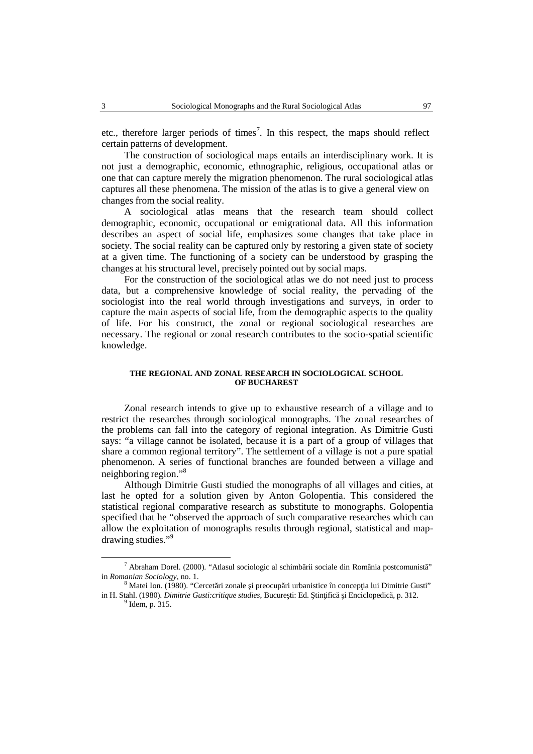etc., therefore larger periods of times 7 . In this respect, the maps should reflect certain patterns of development.

The construction of sociological maps entails an interdisciplinary work. It is not just a demographic, economic, ethnographic, religious, occupational atlas or one that can capture merely the migration phenomenon. The rural sociological atlas captures all these phenomena. The mission of the atlas is to give a general view on changes from the social reality.

A sociological atlas means that the research team should collect demographic, economic, occupational or emigrational data. All this information describes an aspect of social life, emphasizes some changes that take place in society. The social reality can be captured only by restoring a given state of society at a given time. The functioning of a society can be understood by grasping the changes at his structural level, precisely pointed out by social maps.

For the construction of the sociological atlas we do not need just to process data, but a comprehensive knowledge of social reality, the pervading of the sociologist into the real world through investigations and surveys, in order to capture the main aspects of social life, from the demographic aspects to the quality of life. For his construct, the zonal or regional sociological researches are necessary. The regional or zonal research contributes to the socio-spatial scientific knowledge.

## **THE REGIONAL AND ZONAL RESEARCH IN SOCIOLOGICAL SCHOOL OF BUCHAREST**

Zonal research intends to give up to exhaustive research of a village and to restrict the researches through sociological monographs. The zonal researches of the problems can fall into the category of regional integration. As Dimitrie Gusti says: "a village cannot be isolated, because it is a part of a group of villages that share a common regional territory". The settlement of a village is not a pure spatial phenomenon. A series of functional branches are founded between a village and neighboring region."<sup>8</sup>

Although Dimitrie Gusti studied the monographs of all villages and cities, at last he opted for a solution given by Anton Golopentia. This considered the statistical regional comparative research as substitute to monographs. Golopentia specified that he "observed the approach of such comparative researches which can allow the exploitation of monographs results through regional, statistical and map drawing studies." 9

 $^7$  Abraham Dorel. (2000). "Atlasul sociologic al schimb rii sociale din România postcomunist" in *Romanian Sociology*, no. 1.<br><sup>8</sup> Matei Ion. (1980). "Cercet ri zonale i preocup ri urbanistice în concep ia lui Dimitrie Gusti"

in H. Stahl. (1980). *Dimitrie Gusti:critique studies*, Bucure ti: Ed.  $\frac{1}{2}$  in  $\frac{1}{2}$  i Enciclopedic  $\frac{1}{2}$ , p. 312.

 $<sup>9</sup>$  Idem, p. 315.</sup>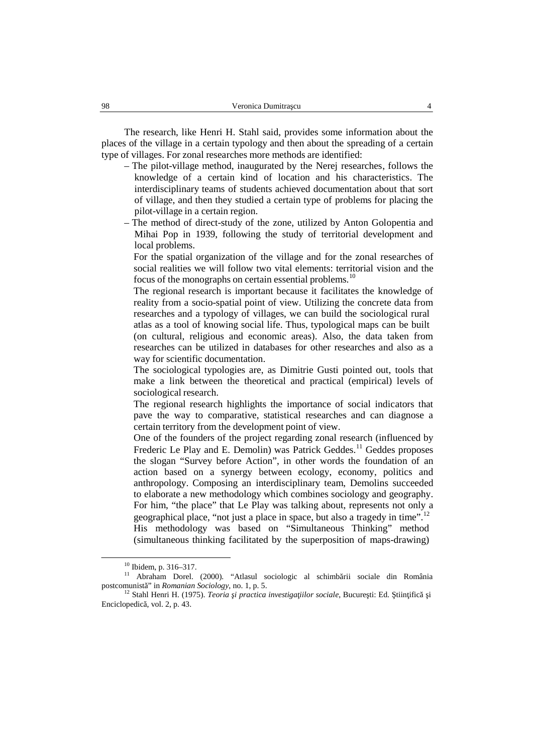The research, like Henri H. Stahl said, provides some information about the places of the village in a certain typology and then about the spreading of a certain type of villages. For zonal researches more methods are identified:

- The pilot-village method, inaugurated by the Nerej researches, follows the knowledge of a certain kind of location and his characteristics. The interdisciplinary teams of students achieved documentation about that sort of village, and then they studied a certain type of problems for placing the pilot-village in a certain region.
- The method of direct-study of the zone, utilized by Anton Golopentia and Mihai Pop in 1939, following the study of territorial development and local problems.

For the spatial organization of the village and for the zonal researches of social realities we will follow two vital elements: territorial vision and the focus of the monographs on certain essential problems.<sup>10</sup>

The regional research is important because it facilitates the knowledge of reality from a socio-spatial point of view. Utilizing the concrete data from researches and a typology of villages, we can build the sociological rural atlas as a tool of knowing social life. Thus, typological maps can be built (on cultural, religious and economic areas). Also, the data taken from researches can be utilized in databases for other researches and also as a way for scientific documentation.

The sociological typologies are, as Dimitrie Gusti pointed out, tools that make a link between the theoretical and practical (empirical) levels of sociological research.

The regional research highlights the importance of social indicators that pave the way to comparative, statistical researches and can diagnose a certain territory from the development point of view.

One of the founders of the project regarding zonal research (influenced by Frederic Le Play and E. Demolin) was Patrick Geddes.<sup>11</sup> Geddes proposes the slogan "Survey before Action", in other words the foundation of an action based on a synergy between ecology, economy, politics and anthropology. Composing an interdisciplinary team, Demolins succeeded to elaborate a new methodology which combines sociology and geography. For him, "the place" that Le Play was talking about, represents not only a geographical place, "not just a place in space, but also a tragedy in time".<sup>12</sup> His methodology was based on "Simultaneous Thinking" method (simultaneous thinking facilitated by the superposition of maps-drawing)

<sup>&</sup>lt;sup>10</sup> Ibidem, p. 316–317.<br><sup>11</sup> Abraham Dorel. (2000). "Atlasul sociologic al schimb rii sociale din România postcomunist " in *Romanian Sociology*, no. 1, p. 5.

<sup>&</sup>lt;sup>12</sup> Stahl Henri H. (1975). *Teoria i practica investiga iilor sociale*, Bucure ti: Ed. tiin ific *i* Enciclopedic , vol. 2, p. 43.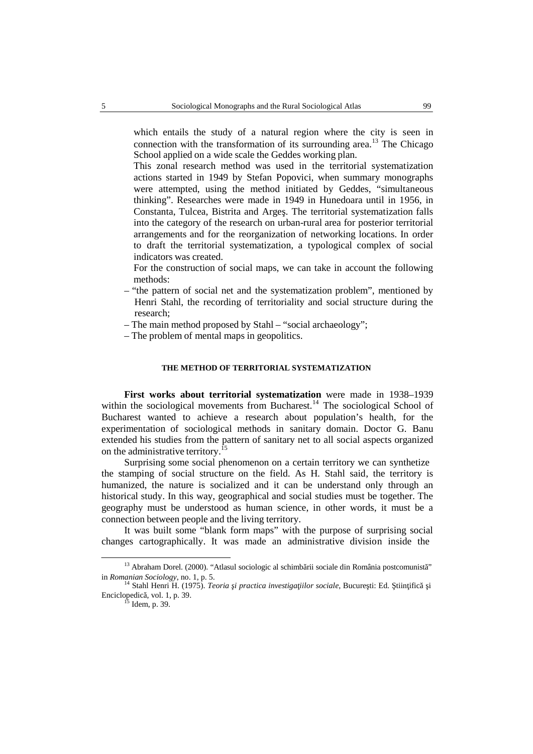which entails the study of a natural region where the city is seen in connection with the transformation of its surrounding area.<sup>13</sup> The Chicago School applied on a wide scale the Geddes working plan.

This zonal research method was used in the territorial systematization actions started in 1949 by Stefan Popovici, when summary monographs were attempted, using the method initiated by Geddes, "simultaneous thinking". Researches were made in 1949 in Hunedoara until in 1956, in Constanta, Tulcea, Bistrita and Arge. The territorial systematization falls into the category of the research on urban-rural area for posterior territorial arrangements and for the reorganization of networking locations. In order to draft the territorial systematization, a typological complex of social indicators was created.

For the construction of social maps, we can take in account the following methods:

- "the pattern of social net and the systematization problem", mentioned by Henri Stahl, the recording of territoriality and social structure during the research;
- The main method proposed by Stahl "social archaeology";
- The problem of mental maps in geopolitics.

# **THE METHOD OF TERRITORIAL SYSTEMATIZATION**

**First works about territorial systematization** were made in 1938–1939 within the sociological movements from Bucharest.<sup>14</sup> The sociological School of Bucharest wanted to achieve a research about population's health, for the experimentation of sociological methods in sanitary domain. Doctor G. Banu extended his studies from the pattern of sanitary net to all social aspects organized on the administrative territory.

Surprising some social phenomenon on a certain territory we can synthetize the stamping of social structure on the field. As H. Stahl said, the territory is humanized, the nature is socialized and it can be understand only through an historical study. In this way, geographical and social studies must be together. The geography must be understood as human science, in other words, it must be a connection between people and the living territory.

It was built some "blank form maps" with the purpose of surprising social changes cartographically. It was made an administrative division inside the

<sup>&</sup>lt;sup>13</sup> Abraham Dorel. (2000). "Atlasul sociologic al schimb rii sociale din România postcomunist" in *Romanian Sociology*, no. 1, p. 5.<br><sup>14</sup> Stahl Henri H. (1975). *Teoria i practica investiga iilor sociale*, Bucure ti: Ed. tiin ific *i* 

Enciclopedic , vol. 1, p. 39.<br> $^{15}$  Idem, p. 39.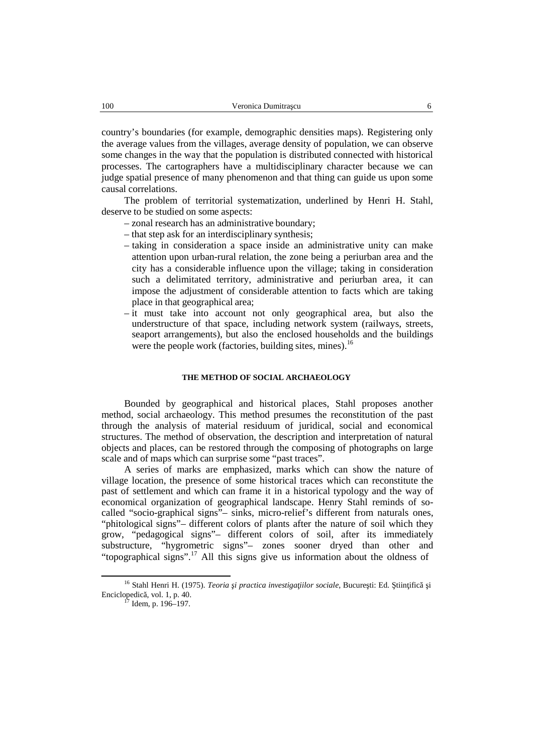country's boundaries (for example, demographic densities maps). Registering only the average values from the villages, average density of population, we can observe some changes in the way that the population is distributed connected with historical processes. The cartographers have a multidisciplinary character because we can judge spatial presence of many phenomenon and that thing can guide us upon some causal correlations.

The problem of territorial systematization, underlined by Henri H. Stahl, deserve to be studied on some aspects:

- zonal research has an administrative boundary;
- that step ask for an interdisciplinary synthesis;
- taking in consideration a space inside an administrative unity can make attention upon urban-rural relation, the zone being a periurban area and the city has a considerable influence upon the village; taking in consideration such a delimitated territory, administrative and periurban area, it can impose the adjustment of considerable attention to facts which are taking place in that geographical area;
- it must take into account not only geographical area, but also the understructure of that space, including network system (railways, streets, seaport arrangements), but also the enclosed households and the buildings were the people work (factories, building sites, mines).<sup>16</sup>

## **THE METHOD OF SOCIAL ARCHAEOLOGY**

Bounded by geographical and historical places, Stahl proposes another method, social archaeology. This method presumes the reconstitution of the past through the analysis of material residuum of juridical, social and economical structures. The method of observation, the description and interpretation of natural objects and places, can be restored through the composing of photographs on large scale and of maps which can surprise some "past traces".

A series of marks are emphasized, marks which can show the nature of village location, the presence of some historical traces which can reconstitute the past of settlement and which can frame it in a historical typology and the way of economical organization of geographical landscape. Henry Stahl reminds of so called "socio-graphical signs"– sinks, micro-relief's different from naturals ones, "phitological signs"– different colors of plants after the nature of soil which they grow, "pedagogical signs"– different colors of soil, after its immediately substructure, "hygrometric signs"– zones sooner dryed than other and "topographical signs".<sup>17</sup> All this signs give us information about the oldness of

<sup>&</sup>lt;sup>16</sup> Stahl Henri H. (1975). *Teoria i practica investiga iilor sociale*, Bucure ti: Ed. tiin ific *i* Enciclopedic, vol. 1, p. 40.<br><sup>17</sup> Idem, p. 196–197.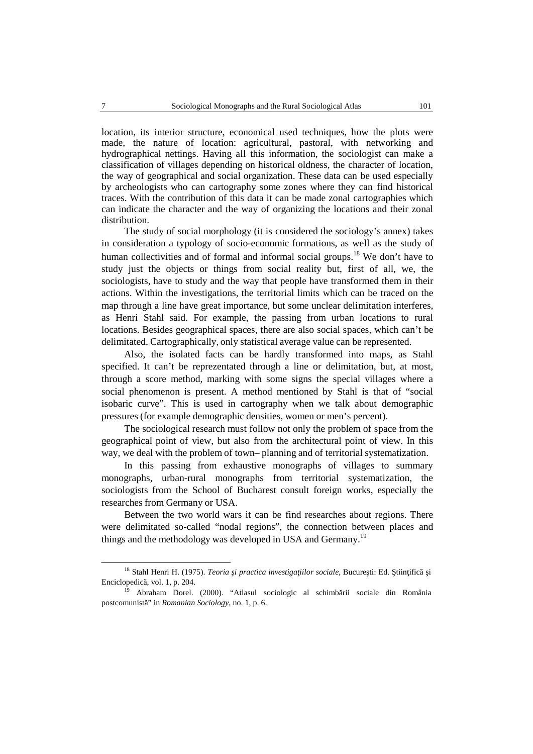location, its interior structure, economical used techniques, how the plots were made, the nature of location: agricultural, pastoral, with networking and hydrographical nettings. Having all this information, the sociologist can make a classification of villages depending on historical oldness, the character of location, the way of geographical and social organization. These data can be used especially by archeologists who can cartography some zones where they can find historical traces. With the contribution of this data it can be made zonal cartographies which can indicate the character and the way of organizing the locations and their zonal distribution.

The study of social morphology (it is considered the sociology's annex) takes in consideration a typology of socio-economic formations, as well as the study of human collectivities and of formal and informal social groups.<sup>18</sup> We don't have to study just the objects or things from social reality but, first of all, we, the sociologists, have to study and the way that people have transformed them in their actions. Within the investigations, the territorial limits which can be traced on the map through a line have great importance, but some unclear delimitation interferes, as Henri Stahl said. For example, the passing from urban locations to rural locations. Besides geographical spaces, there are also social spaces, which can't be delimitated. Cartographically, only statistical average value can be represented.

Also, the isolated facts can be hardly transformed into maps, as Stahl specified. It can't be reprezentated through a line or delimitation, but, at most, through a score method, marking with some signs the special villages where a social phenomenon is present. A method mentioned by Stahl is that of "social isobaric curve". This is used in cartography when we talk about demographic pressures (for example demographic densities, women or men's percent).

The sociological research must follow not only the problem of space from the geographical point of view, but also from the architectural point of view. In this way, we deal with the problem of town– planning and of territorial systematization.

In this passing from exhaustive monographs of villages to summary monographs, urban-rural monographs from territorial systematization, the sociologists from the School of Bucharest consult foreign works, especially the researches from Germany or USA.

Between the two world wars it can be find researches about regions. There were delimitated so-called "nodal regions", the connection between places and things and the methodology was developed in USA and Germany.<sup>19</sup>

<sup>&</sup>lt;sup>18</sup> Stahl Henri H. (1975). *Teoria i practica investiga iilor sociale*, Bucure ti: Ed. tiin ific i Enciclopedic , vol. 1, p. 204.

<sup>&</sup>lt;sup>19</sup> Abraham Dorel. (2000). "Atlasul sociologic al schimb rii sociale din România postcomunist<sup>"</sup> in *Romanian Sociology*, no. 1, p. 6.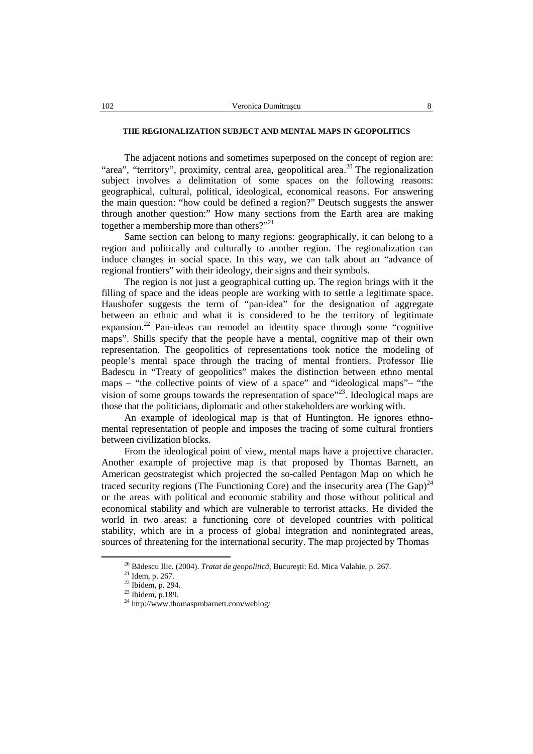## **THE REGIONALIZATION SUBJECT AND MENTAL MAPS IN GEOPOLITICS**

The adjacent notions and sometimes superposed on the concept of region are: "area", "territory", proximity, central area, geopolitical area.<sup>20</sup> The regionalization subject involves a delimitation of some spaces on the following reasons: geographical, cultural, political, ideological, economical reasons. For answering the main question: "how could be defined a region?" Deutsch suggests the answer through another question:" How many sections from the Earth area are making together a membership more than others?"<sup>21</sup>

Same section can belong to many regions: geographically, it can belong to a region and politically and culturally to another region. The regionalization can induce changes in social space. In this way, we can talk about an "advance of regional frontiers" with their ideology, their signs and their symbols.

The region is not just a geographical cutting up. The region brings with it the filling of space and the ideas people are working with to settle a legitimate space. Haushofer suggests the term of "pan-idea" for the designation of aggregate between an ethnic and what it is considered to be the territory of legitimate expansion.<sup>22</sup> Pan-ideas can remodel an identity space through some "cognitive maps". Shills specify that the people have a mental, cognitive map of their own representation. The geopolitics of representations took notice the modeling of people's mental space through the tracing of mental frontiers. Professor Ilie Badescu in "Treaty of geopolitics" makes the distinction between ethno mental maps – "the collective points of view of a space" and "ideological maps"– "the vision of some groups towards the representation of space"<sup>23</sup>. Ideological maps are those that the politicians, diplomatic and other stakeholders are working with.

An example of ideological map is that of Huntington. He ignores ethno mental representation of people and imposes the tracing of some cultural frontiers between civilization blocks.

From the ideological point of view, mental maps have a projective character. Another example of projective map is that proposed by Thomas Barnett, an American geostrategist which projected the so-called Pentagon Map on which he traced security regions (The Functioning Core) and the insecurity area (The Gap)<sup>24</sup> or the areas with political and economic stability and those without political and economical stability and which are vulnerable to terrorist attacks. He divided the world in two areas: a functioning core of developed countries with political stability, which are in a process of global integration and nonintegrated areas, sources of threatening for the international security. The map projected by Thomas

<sup>&</sup>lt;sup>20</sup> B descu Ilie. (2004). *Tratat de geopolitic*, Bucure ti: Ed. Mica Valahie, p. 267. <sup>21</sup> Idem, p. 267. <sup>22</sup> Ibidem, p. 294. <sup>23</sup> Ibidem, p.189. <sup>24</sup> http://www.thomaspmbarnett.com/weblog/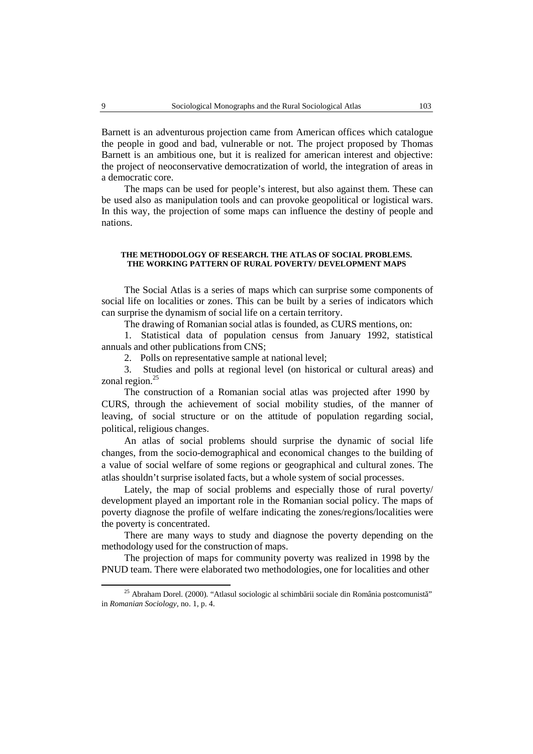Barnett is an adventurous projection came from American offices which catalogue the people in good and bad, vulnerable or not. The project proposed by Thomas Barnett is an ambitious one, but it is realized for american interest and objective: the project of neoconservative democratization of world, the integration of areas in a democratic core.

The maps can be used for people's interest, but also against them. These can be used also as manipulation tools and can provoke geopolitical or logistical wars. In this way, the projection of some maps can influence the destiny of people and nations.

#### **THE METHODOLOGY OF RESEARCH. THE ATLAS OF SOCIAL PROBLEMS. THE WORKING PATTERN OF RURAL POVERTY/ DEVELOPMENT MAPS**

The Social Atlas is a series of maps which can surprise some components of social life on localities or zones. This can be built by a series of indicators which can surprise the dynamism of social life on a certain territory.

The drawing of Romanian social atlas is founded, as CURS mentions, on:

1. Statistical data of population census from January 1992, statistical annuals and other publications from CNS;

2. Polls on representative sample at national level;

3. Studies and polls at regional level (on historical or cultural areas) and zonal region.<sup>25</sup>

The construction of a Romanian social atlas was projected after 1990 by CURS, through the achievement of social mobility studies, of the manner of leaving, of social structure or on the attitude of population regarding social, political, religious changes.

An atlas of social problems should surprise the dynamic of social life changes, from the socio-demographical and economical changes to the building of a value of social welfare of some regions or geographical and cultural zones. The atlas shouldn't surprise isolated facts, but a whole system of socialprocesses.

Lately, the map of social problems and especially those of rural poverty/ development played an important role in the Romanian social policy. The maps of poverty diagnose the profile of welfare indicating the zones/regions/localities were the poverty is concentrated.

There are many ways to study and diagnose the poverty depending on the methodology used for the construction of maps.

The projection of maps for community poverty was realized in 1998 by the PNUD team. There were elaborated two methodologies, one for localities and other

 $^{25}$  Abraham Dorel. (2000). "Atlasul sociologic al schimb rii sociale din România postcomunist" in *Romanian Sociology*, no. 1, p. 4.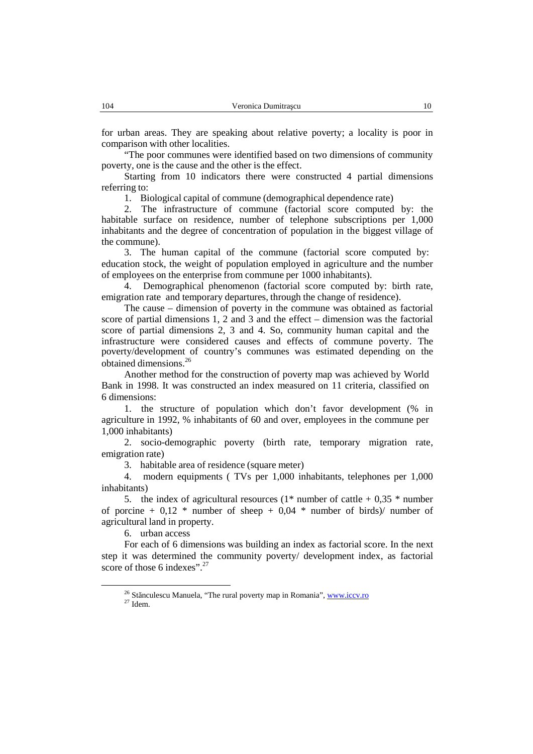for urban areas. They are speaking about relative poverty; a locality is poor in comparison with other localities.

"The poor communes were identified based on two dimensions of community poverty, one is the cause and the other is the effect.

Starting from 10 indicators there were constructed 4 partial dimensions referring to:

1. Biological capital of commune (demographical dependence rate)

2. The infrastructure of commune (factorial score computed by: the habitable surface on residence, number of telephone subscriptions per 1,000 inhabitants and the degree of concentration of population in the biggest village of the commune).

3. The human capital of the commune (factorial score computed by: education stock, the weight of population employed in agriculture and the number of employees on the enterprise from commune per 1000 inhabitants).

4. Demographical phenomenon (factorial score computed by: birth rate, emigration rate and temporary departures, through the change of residence).

The cause – dimension of poverty in the commune was obtained as factorial score of partial dimensions 1, 2 and 3 and the effect  $-$  dimension was the factorial score of partial dimensions 2, 3 and 4. So, community human capital and the infrastructure were considered causes and effects of commune poverty. The poverty/development of country's communes was estimated depending on the obtained dimensions.<sup>26</sup>

Another method for the construction of poverty map was achieved by World Bank in 1998. It was constructed an index measured on 11 criteria, classified on 6 dimensions:

1. the structure of population which don't favor development (% in agriculture in 1992, % inhabitants of 60 and over, employees in the commune per 1,000 inhabitants)

2. socio-demographic poverty (birth rate, temporary migration rate, emigration rate)

3. habitable area of residence (square meter)

4. modern equipments ( TVs per 1,000 inhabitants, telephones per 1,000 inhabitants)

5. the index of agricultural resources  $(1^*$  number of cattle + 0,35  $^*$  number of porcine + 0.12  $*$  number of sheep + 0.04  $*$  number of birds)/ number of agricultural land in property.

6. urban access

For each of 6 dimensions was building an index as factorial score. In the next step it was determined the community poverty/ development index, as factorial score of those 6 indexes".<sup>27</sup>

<sup>&</sup>lt;sup>26</sup> St neulescu Manuela, "The rural poverty map in Romania", www.iccv.ro  $27$  Idem.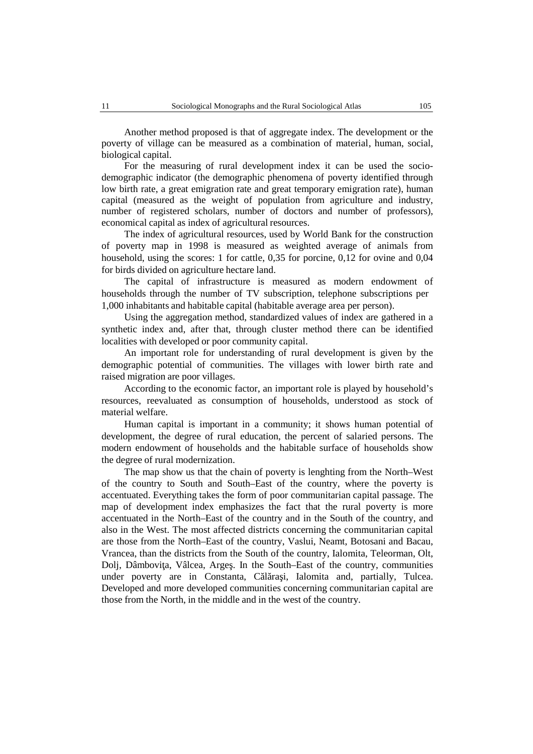Another method proposed is that of aggregate index. The development or the poverty of village can be measured as a combination of material, human, social, biological capital.

For the measuring of rural development index it can be used the socio demographic indicator (the demographic phenomena of poverty identified through low birth rate, a great emigration rate and great temporary emigration rate), human capital (measured as the weight of population from agriculture and industry, number of registered scholars, number of doctors and number of professors), economical capital as index of agricultural resources.

The index of agricultural resources, used by World Bank for the construction of poverty map in 1998 is measured as weighted average of animals from household, using the scores: 1 for cattle, 0,35 for porcine, 0,12 for ovine and 0,04 for birds divided on agriculture hectare land.

The capital of infrastructure is measured as modern endowment of households through the number of TV subscription, telephone subscriptions per 1,000 inhabitants and habitable capital (habitable average area per person).

Using the aggregation method, standardized values of index are gathered in a synthetic index and, after that, through cluster method there can be identified localities with developed or poor community capital.

An important role for understanding of rural development is given by the demographic potential of communities. The villages with lower birth rate and raised migration are poor villages.

According to the economic factor, an important role is played by household's resources, reevaluated as consumption of households, understood as stock of material welfare.

Human capital is important in a community; it shows human potential of development, the degree of rural education, the percent of salaried persons. The modern endowment of households and the habitable surface of households show the degree of rural modernization.

The map show us that the chain of poverty is lenghting from the North–West of the country to South and South–East of the country, where the poverty is accentuated. Everything takes the form of poorcommunitarian capital passage. The map of development index emphasizes the fact that the rural poverty is more accentuated in the North–East of the country and in the South of the country, and also in the West. The most affected districts concerning the communitarian capital are those from the North–East of the country, Vaslui, Neamt, Botosani and Bacau, Vrancea, than the districts from the South of the country, Ialomita, Teleorman, Olt, Dolj, Dâmbovi a, Vâlcea, Arge, In the South–East of the country, communities under poverty are in Constanta,  $C<sub>1</sub>$  ra i, Ialomita and, partially, Tulcea. Developed and more developed communities concerning communitarian capital are those from the North, in the middle and in the west of the country.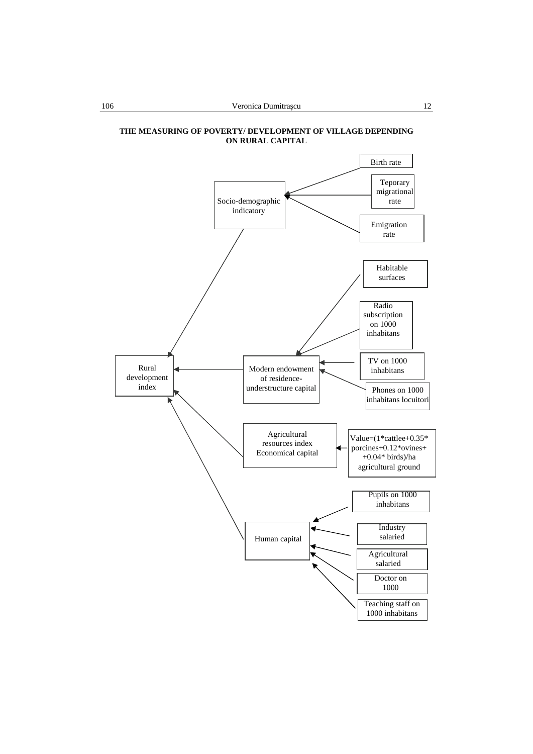

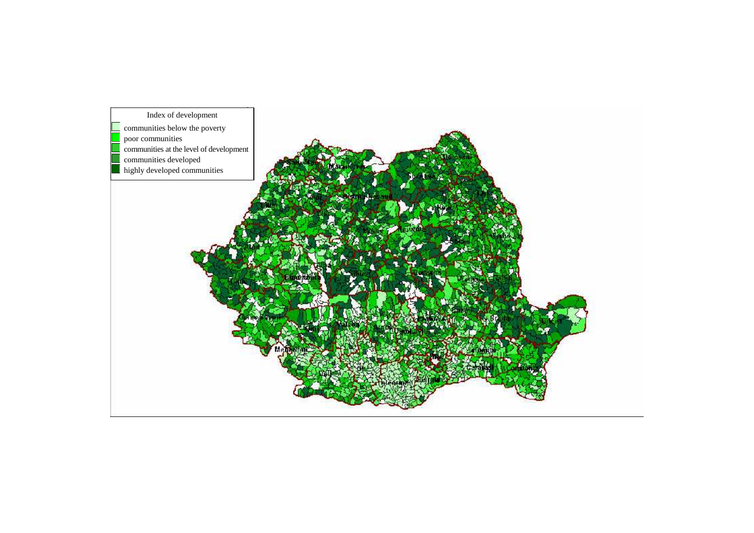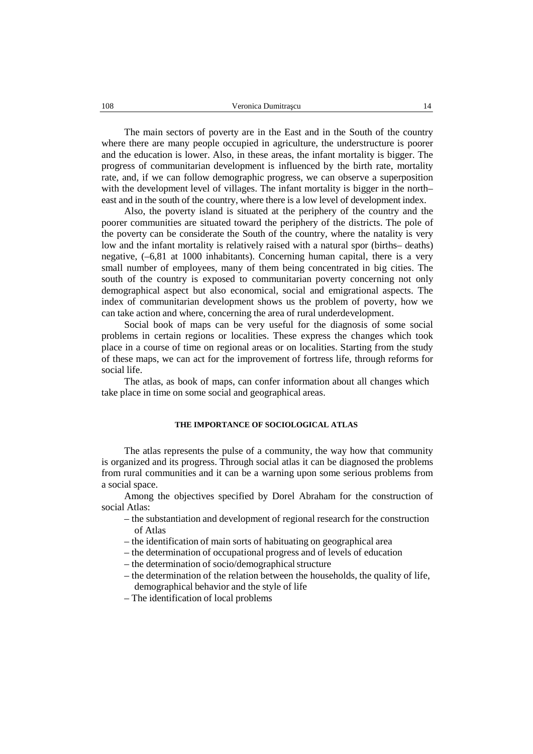The main sectors of poverty are in the East and in the South of the country where there are many people occupied in agriculture, the understructure is poorer and the education is lower. Also, in these areas, the infant mortality is bigger. The progress of communitarian development is influenced by the birth rate, mortality rate, and, if we can follow demographic progress, we can observe a superposition with the development level of villages. The infant mortality is bigger in the north– east and in the south of the country, where there is a low level of development index.

Also, the poverty island is situated at the periphery of the country and the poorer communities are situated toward the periphery of the districts. The pole of the poverty can be considerate the South of the country, where the natality is very low and the infant mortality is relatively raised with a natural spor (births– deaths) negative, (–6,81 at 1000 inhabitants). Concerning human capital, there is a very small number of employees, many of them being concentrated in big cities. The south of the country is exposed to communitarian poverty concerning not only demographical aspect but also economical, social and emigrational aspects. The index of communitarian development shows us the problem of poverty, how we can take action and where, concerning the area of rural underdevelopment.

Social book of maps can be very useful for the diagnosis of some social problems in certain regions or localities. These express the changes which took place in a course of time on regional areas or on localities. Starting from the study of these maps, we can act for the improvement of fortress life, through reforms for social life.

The atlas, as book of maps, can confer information about all changes which take place in time on some social and geographical areas.

#### **THE IMPORTANCE OF SOCIOLOGICAL ATLAS**

The atlas represents the pulse of a community, the way how that community is organized and its progress. Through social atlas it can be diagnosed the problems from rural communities and it can be a warning upon some serious problems from a social space.

Among the objectives specified by Dorel Abraham for the construction of social Atlas:

- the substantiation and development of regional research for the construction of Atlas
- the identification of main sorts of habituating on geographical area
- the determination of occupational progress and of levels of education
- $-$  the determination of socio/demographical structure
- the determination of the relation between the households, the quality of life, demographical behavior and the style of life
- The identification of local problems